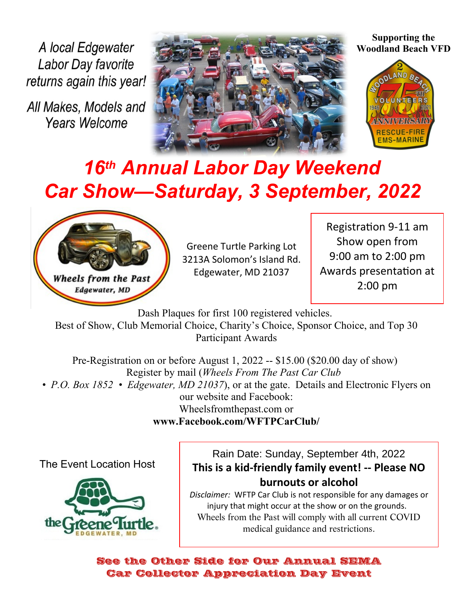A local Edgewater Labor Day favorite returns again this year!

All Makes, Models and **Years Welcome** 



**Supporting the Woodland Beach VFD**



## *16th Annual Labor Day Weekend Car Show—Saturday, 3 September, 2022*



Greene Turtle Parking Lot 3213A Solomon's Island Rd. Edgewater, MD 21037

Registration 9-11 am Show open from 9:00 am to 2:00 pm Awards presentation at 2:00 pm

Dash Plaques for first 100 registered vehicles. Best of Show, Club Memorial Choice, Charity's Choice, Sponsor Choice, and Top 30 Participant Awards

Pre-Registration on or before August 1, 2022 -- \$15.00 (\$20.00 day of show) Register by mail (*Wheels From The Past Car Club • P.O. Box 1852 • Edgewater, MD 21037*), or at the gate. Details and Electronic Flyers on our website and Facebook: Wheelsfromthepast.com or **www.Facebook.com/WFTPCarClub/**

The Event Location Host



Rain Date: Sunday, September 4th, 2022 **This is a kid-friendly family event! -- Please NO burnouts or alcohol**

*Disclaimer:* WFTP Car Club is not responsible for any damages or injury that might occur at the show or on the grounds. Wheels from the Past will comply with all current COVID medical guidance and restrictions.

See the Other Side for Our Annual SEMA Car Collector Appreciation Day Event